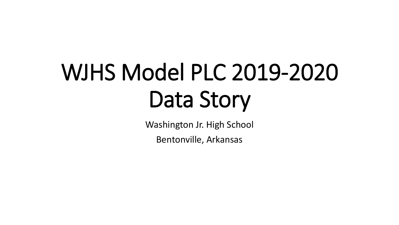# WJHS Model PLC 2019-2020 Data Story

Washington Jr. High School

Bentonville, Arkansas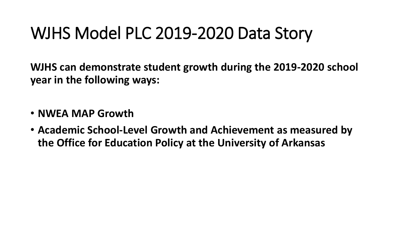### WJHS Model PLC 2019-2020 Data Story

**WJHS can demonstrate student growth during the 2019-2020 school year in the following ways:**

- **NWEA MAP Growth**
- **Academic School-Level Growth and Achievement as measured by the Office for Education Policy at the University of Arkansas**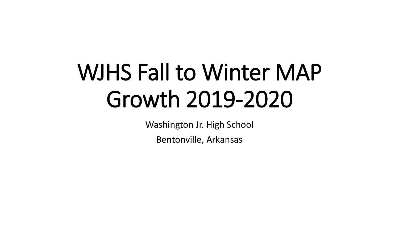## WJHS Fall to Winter MAP Growth 2019-2020

Washington Jr. High School

Bentonville, Arkansas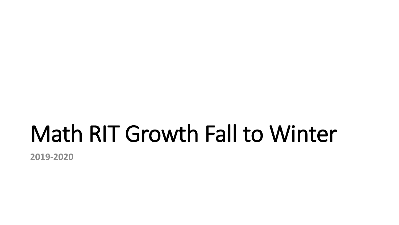### Math RIT Growth Fall to Winter

**2019-2020**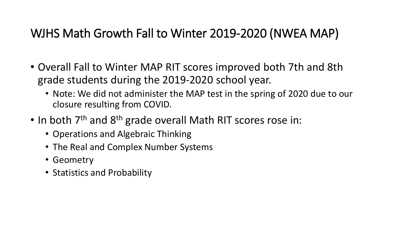### WJHS Math Growth Fall to Winter 2019-2020 (NWEA MAP)

- Overall Fall to Winter MAP RIT scores improved both 7th and 8th grade students during the 2019-2020 school year.
	- Note: We did not administer the MAP test in the spring of 2020 due to our closure resulting from COVID.
- In both 7<sup>th</sup> and 8<sup>th</sup> grade overall Math RIT scores rose in:
	- Operations and Algebraic Thinking
	- The Real and Complex Number Systems
	- Geometry
	- Statistics and Probability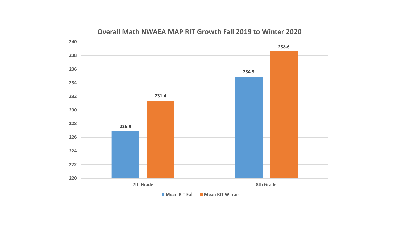

#### **Overall Math NWAEA MAP RIT Growth Fall 2019 to Winter 2020**

**Mean RIT Fall Mean RIT Winter**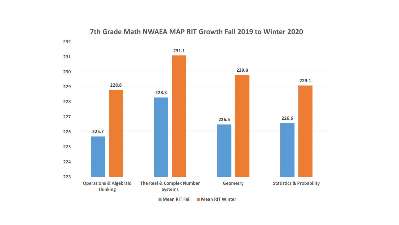

#### **7th Grade Math NWAEA MAP RIT Growth Fall 2019 to Winter 2020**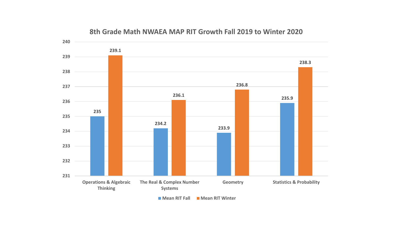

#### **8th Grade Math NWAEA MAP RIT Growth Fall 2019 to Winter 2020**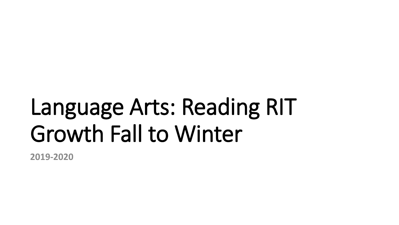## Language Arts: Reading RIT Growth Fall to Winter

**2019-2020**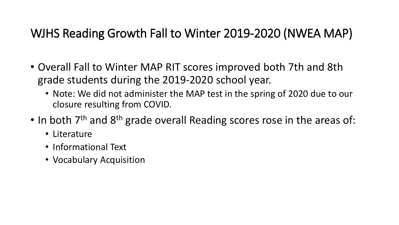### WJHS Reading Growth Fall to Winter 2019-2020 (NWEA MAP)

- Overall Fall to Winter MAP RIT scores improved both 7th and 8th grade students during the 2019-2020 school year.
	- Note: We did not administer the MAP test in the spring of 2020 due to our closure resulting from COVID.
- In both 7<sup>th</sup> and 8<sup>th</sup> grade overall Reading scores rose in the areas of:
	- Literature
	- Informational Text
	- Vocabulary Acquisition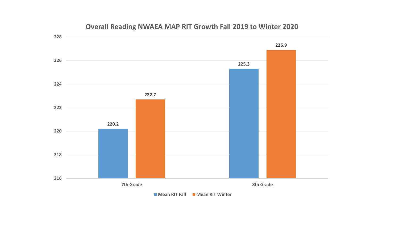

### **Overall Reading NWAEA MAP RIT Growth Fall 2019 to Winter 2020**

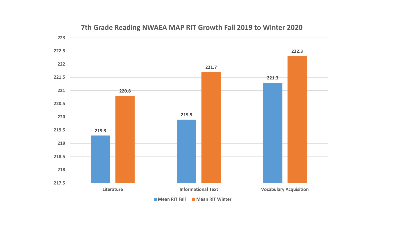

#### **7th Grade Reading NWAEA MAP RIT Growth Fall 2019 to Winter 2020**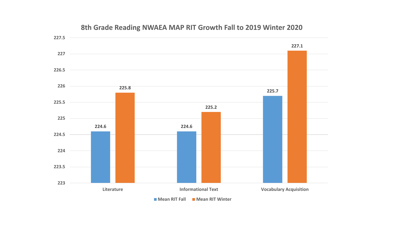

### **8th Grade Reading NWAEA MAP RIT Growth Fall to 2019 Winter 2020**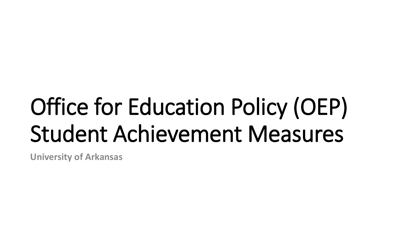# Office for Education Policy (OEP) Student Achievement Measures

**University of Arkansas**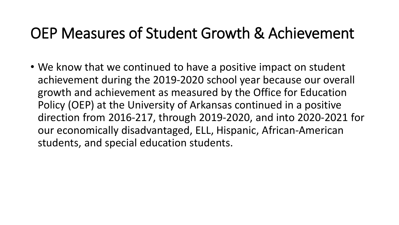### OEP Measures of Student Growth & Achievement

• We know that we continued to have a positive impact on student achievement during the 2019-2020 school year because our overall growth and achievement as measured by the Office for Education Policy (OEP) at the University of Arkansas continued in a positive direction from 2016-217, through 2019-2020, and into 2020-2021 for our economically disadvantaged, ELL, Hispanic, African-American students, and special education students.